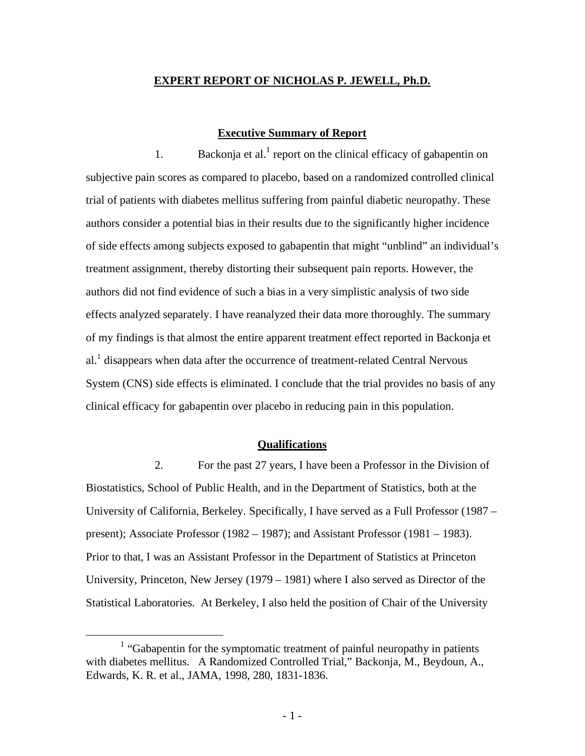## **EXPERT REPORT OF NICHOLAS P. JEWELL, Ph.D.**

# **Executive Summary of Report**

1. Backonja et al.<sup>1</sup> report on the clinical efficacy of gabapentin on subjective pain scores as compared to placebo, based on a randomized controlled clinical trial of patients with diabetes mellitus suffering from painful diabetic neuropathy. These authors consider a potential bias in their results due to the significantly higher incidence of side effects among subjects exposed to gabapentin that might "unblind" an individual's treatment assignment, thereby distorting their subsequent pain reports. However, the authors did not find evidence of such a bias in a very simplistic analysis of two side effects analyzed separately. I have reanalyzed their data more thoroughly. The summary of my findings is that almost the entire apparent treatment effect reported in Backonja et al.<sup>1</sup> disappears when data after the occurrence of treatment-related Central Nervous System (CNS) side effects is eliminated. I conclude that the trial provides no basis of any clinical efficacy for gabapentin over placebo in reducing pain in this population.

### **Qualifications**

2. For the past 27 years, I have been a Professor in the Division of Biostatistics, School of Public Health, and in the Department of Statistics, both at the University of California, Berkeley. Specifically, I have served as a Full Professor (1987 – present); Associate Professor (1982 – 1987); and Assistant Professor (1981 – 1983). Prior to that, I was an Assistant Professor in the Department of Statistics at Princeton University, Princeton, New Jersey (1979 – 1981) where I also served as Director of the Statistical Laboratories. At Berkeley, I also held the position of Chair of the University

 $\overline{\phantom{a}}$  $<sup>1</sup>$  "Gabapentin for the symptomatic treatment of painful neuropathy in patients</sup> with diabetes mellitus. A Randomized Controlled Trial," Backonja, M., Beydoun, A., Edwards, K. R. et al., JAMA, 1998, 280, 1831-1836.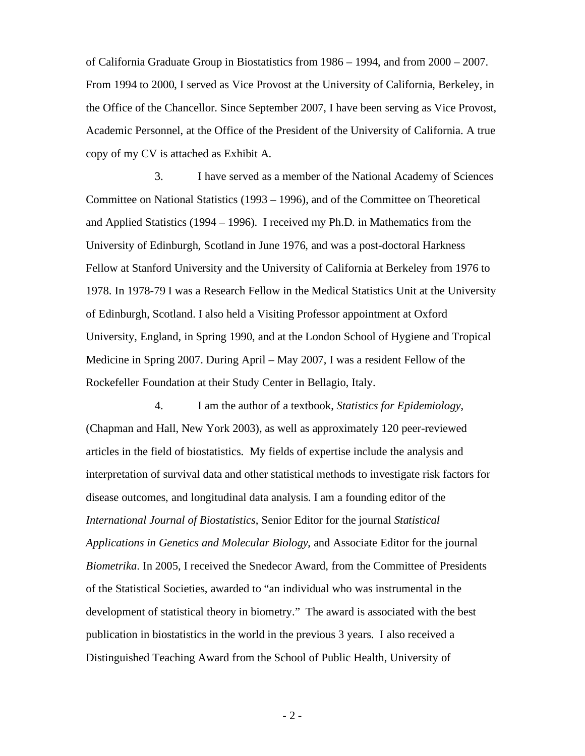of California Graduate Group in Biostatistics from 1986 – 1994, and from 2000 – 2007. From 1994 to 2000, I served as Vice Provost at the University of California, Berkeley, in the Office of the Chancellor. Since September 2007, I have been serving as Vice Provost, Academic Personnel, at the Office of the President of the University of California. A true copy of my CV is attached as Exhibit A.

3. I have served as a member of the National Academy of Sciences Committee on National Statistics (1993 – 1996), and of the Committee on Theoretical and Applied Statistics (1994 – 1996). I received my Ph.D. in Mathematics from the University of Edinburgh, Scotland in June 1976, and was a post-doctoral Harkness Fellow at Stanford University and the University of California at Berkeley from 1976 to 1978. In 1978-79 I was a Research Fellow in the Medical Statistics Unit at the University of Edinburgh, Scotland. I also held a Visiting Professor appointment at Oxford University, England, in Spring 1990, and at the London School of Hygiene and Tropical Medicine in Spring 2007. During April – May 2007, I was a resident Fellow of the Rockefeller Foundation at their Study Center in Bellagio, Italy.

4. I am the author of a textbook, *Statistics for Epidemiology*, (Chapman and Hall, New York 2003), as well as approximately 120 peer-reviewed articles in the field of biostatistics. My fields of expertise include the analysis and interpretation of survival data and other statistical methods to investigate risk factors for disease outcomes, and longitudinal data analysis. I am a founding editor of the *International Journal of Biostatistics*, Senior Editor for the journal *Statistical Applications in Genetics and Molecular Biology*, and Associate Editor for the journal *Biometrika*. In 2005, I received the Snedecor Award, from the Committee of Presidents of the Statistical Societies, awarded to "an individual who was instrumental in the development of statistical theory in biometry." The award is associated with the best publication in biostatistics in the world in the previous 3 years. I also received a Distinguished Teaching Award from the School of Public Health, University of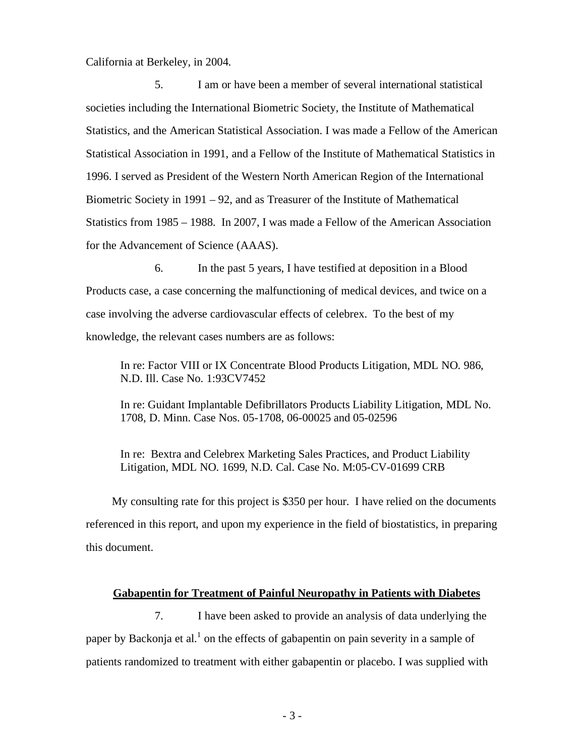California at Berkeley, in 2004.

5. I am or have been a member of several international statistical societies including the International Biometric Society, the Institute of Mathematical Statistics, and the American Statistical Association. I was made a Fellow of the American Statistical Association in 1991, and a Fellow of the Institute of Mathematical Statistics in 1996. I served as President of the Western North American Region of the International Biometric Society in 1991 – 92, and as Treasurer of the Institute of Mathematical Statistics from 1985 – 1988. In 2007, I was made a Fellow of the American Association for the Advancement of Science (AAAS).

6. In the past 5 years, I have testified at deposition in a Blood Products case, a case concerning the malfunctioning of medical devices, and twice on a case involving the adverse cardiovascular effects of celebrex. To the best of my knowledge, the relevant cases numbers are as follows:

In re: Factor VIII or IX Concentrate Blood Products Litigation, MDL NO. 986, N.D. Ill. Case No. 1:93CV7452

In re: Guidant Implantable Defibrillators Products Liability Litigation, MDL No. 1708, D. Minn. Case Nos. 05-1708, 06-00025 and 05-02596

In re: Bextra and Celebrex Marketing Sales Practices, and Product Liability Litigation, MDL NO. 1699, N.D. Cal. Case No. M:05-CV-01699 CRB

My consulting rate for this project is \$350 per hour. I have relied on the documents referenced in this report, and upon my experience in the field of biostatistics, in preparing this document.

# **Gabapentin for Treatment of Painful Neuropathy in Patients with Diabetes**

7. I have been asked to provide an analysis of data underlying the paper by Backonja et al.<sup>1</sup> on the effects of gabapentin on pain severity in a sample of patients randomized to treatment with either gabapentin or placebo. I was supplied with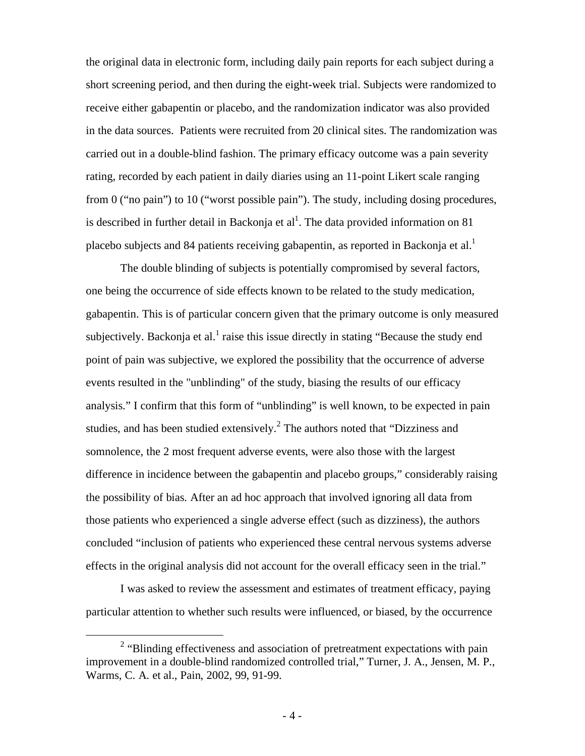the original data in electronic form, including daily pain reports for each subject during a short screening period, and then during the eight-week trial. Subjects were randomized to receive either gabapentin or placebo, and the randomization indicator was also provided in the data sources. Patients were recruited from 20 clinical sites. The randomization was carried out in a double-blind fashion. The primary efficacy outcome was a pain severity rating, recorded by each patient in daily diaries using an 11-point Likert scale ranging from 0 ("no pain") to 10 ("worst possible pain"). The study, including dosing procedures, is described in further detail in Backonja et al<sup>1</sup>. The data provided information on 81 placebo subjects and 84 patients receiving gabapentin, as reported in Backonja et al.<sup>1</sup>

The double blinding of subjects is potentially compromised by several factors, one being the occurrence of side effects known to be related to the study medication, gabapentin. This is of particular concern given that the primary outcome is only measured subjectively. Backonja et al.<sup>1</sup> raise this issue directly in stating "Because the study end point of pain was subjective, we explored the possibility that the occurrence of adverse events resulted in the "unblinding" of the study, biasing the results of our efficacy analysis." I confirm that this form of "unblinding" is well known, to be expected in pain studies, and has been studied extensively.<sup>2</sup> The authors noted that "Dizziness and somnolence, the 2 most frequent adverse events, were also those with the largest difference in incidence between the gabapentin and placebo groups," considerably raising the possibility of bias. After an ad hoc approach that involved ignoring all data from those patients who experienced a single adverse effect (such as dizziness), the authors concluded "inclusion of patients who experienced these central nervous systems adverse effects in the original analysis did not account for the overall efficacy seen in the trial."

I was asked to review the assessment and estimates of treatment efficacy, paying particular attention to whether such results were influenced, or biased, by the occurrence

 <sup>2</sup> <sup>2</sup> "Blinding effectiveness and association of pretreatment expectations with pain improvement in a double-blind randomized controlled trial," Turner, J. A., Jensen, M. P., Warms, C. A. et al., Pain, 2002, 99, 91-99.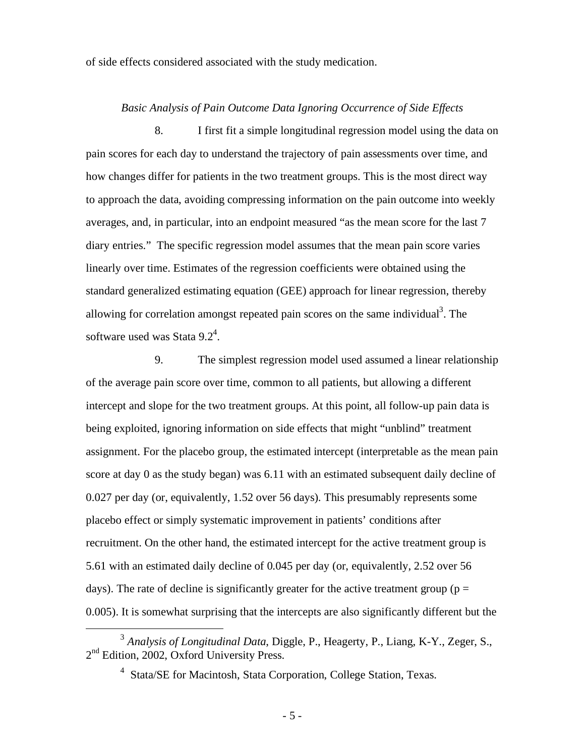of side effects considered associated with the study medication.

### *Basic Analysis of Pain Outcome Data Ignoring Occurrence of Side Effects*

8. I first fit a simple longitudinal regression model using the data on pain scores for each day to understand the trajectory of pain assessments over time, and how changes differ for patients in the two treatment groups. This is the most direct way to approach the data, avoiding compressing information on the pain outcome into weekly averages, and, in particular, into an endpoint measured "as the mean score for the last 7 diary entries." The specific regression model assumes that the mean pain score varies linearly over time. Estimates of the regression coefficients were obtained using the standard generalized estimating equation (GEE) approach for linear regression, thereby allowing for correlation amongst repeated pain scores on the same individual<sup>3</sup>. The software used was Stata 9.2<sup>4</sup>.

9. The simplest regression model used assumed a linear relationship of the average pain score over time, common to all patients, but allowing a different intercept and slope for the two treatment groups. At this point, all follow-up pain data is being exploited, ignoring information on side effects that might "unblind" treatment assignment. For the placebo group, the estimated intercept (interpretable as the mean pain score at day 0 as the study began) was 6.11 with an estimated subsequent daily decline of 0.027 per day (or, equivalently, 1.52 over 56 days). This presumably represents some placebo effect or simply systematic improvement in patients' conditions after recruitment. On the other hand, the estimated intercept for the active treatment group is 5.61 with an estimated daily decline of 0.045 per day (or, equivalently, 2.52 over 56 days). The rate of decline is significantly greater for the active treatment group ( $p =$ 0.005). It is somewhat surprising that the intercepts are also significantly different but the

 <sup>3</sup> *Analysis of Longitudinal Data*, Diggle, P., Heagerty, P., Liang, K-Y., Zeger, S.,  $2<sup>nd</sup>$  Edition, 2002, Oxford University Press.

<sup>&</sup>lt;sup>4</sup> Stata/SE for Macintosh, Stata Corporation, College Station, Texas.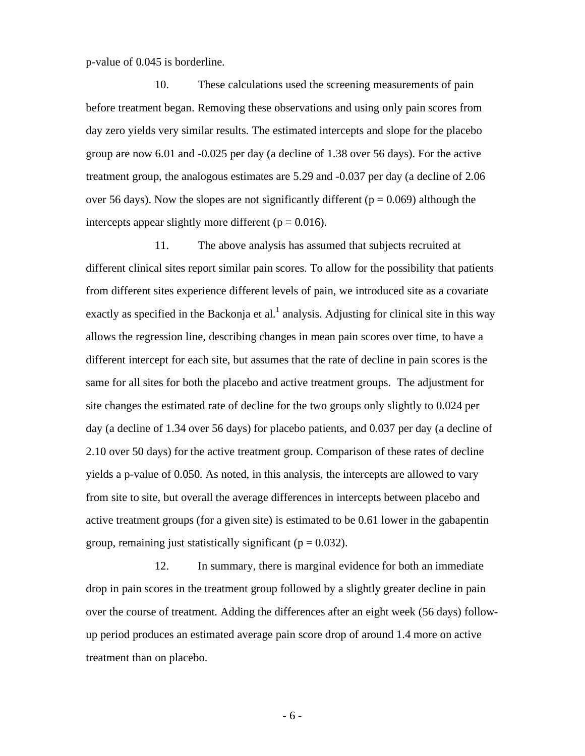p-value of 0.045 is borderline.

10. These calculations used the screening measurements of pain before treatment began. Removing these observations and using only pain scores from day zero yields very similar results. The estimated intercepts and slope for the placebo group are now 6.01 and -0.025 per day (a decline of 1.38 over 56 days). For the active treatment group, the analogous estimates are 5.29 and -0.037 per day (a decline of 2.06 over 56 days). Now the slopes are not significantly different ( $p = 0.069$ ) although the intercepts appear slightly more different ( $p = 0.016$ ).

11. The above analysis has assumed that subjects recruited at different clinical sites report similar pain scores. To allow for the possibility that patients from different sites experience different levels of pain, we introduced site as a covariate exactly as specified in the Backonja et al.<sup>1</sup> analysis. Adjusting for clinical site in this way allows the regression line, describing changes in mean pain scores over time, to have a different intercept for each site, but assumes that the rate of decline in pain scores is the same for all sites for both the placebo and active treatment groups. The adjustment for site changes the estimated rate of decline for the two groups only slightly to 0.024 per day (a decline of 1.34 over 56 days) for placebo patients, and 0.037 per day (a decline of 2.10 over 50 days) for the active treatment group. Comparison of these rates of decline yields a p-value of 0.050. As noted, in this analysis, the intercepts are allowed to vary from site to site, but overall the average differences in intercepts between placebo and active treatment groups (for a given site) is estimated to be 0.61 lower in the gabapentin group, remaining just statistically significant ( $p = 0.032$ ).

12. In summary, there is marginal evidence for both an immediate drop in pain scores in the treatment group followed by a slightly greater decline in pain over the course of treatment. Adding the differences after an eight week (56 days) followup period produces an estimated average pain score drop of around 1.4 more on active treatment than on placebo.

- 6 -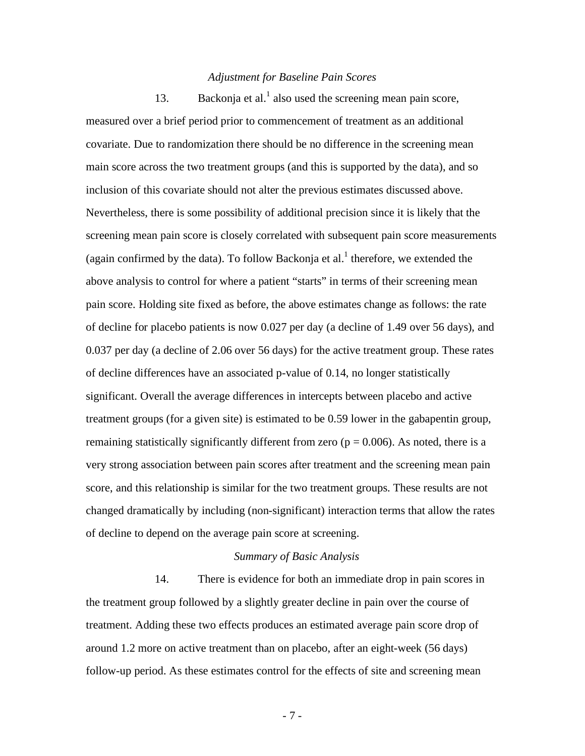### *Adjustment for Baseline Pain Scores*

13. Backonja et al.<sup>1</sup> also used the screening mean pain score, measured over a brief period prior to commencement of treatment as an additional covariate. Due to randomization there should be no difference in the screening mean main score across the two treatment groups (and this is supported by the data), and so inclusion of this covariate should not alter the previous estimates discussed above. Nevertheless, there is some possibility of additional precision since it is likely that the screening mean pain score is closely correlated with subsequent pain score measurements (again confirmed by the data). To follow Backonja et al.<sup>1</sup> therefore, we extended the above analysis to control for where a patient "starts" in terms of their screening mean pain score. Holding site fixed as before, the above estimates change as follows: the rate of decline for placebo patients is now 0.027 per day (a decline of 1.49 over 56 days), and 0.037 per day (a decline of 2.06 over 56 days) for the active treatment group. These rates of decline differences have an associated p-value of 0.14, no longer statistically significant. Overall the average differences in intercepts between placebo and active treatment groups (for a given site) is estimated to be 0.59 lower in the gabapentin group, remaining statistically significantly different from zero ( $p = 0.006$ ). As noted, there is a very strong association between pain scores after treatment and the screening mean pain score, and this relationship is similar for the two treatment groups. These results are not changed dramatically by including (non-significant) interaction terms that allow the rates of decline to depend on the average pain score at screening.

# *Summary of Basic Analysis*

14. There is evidence for both an immediate drop in pain scores in the treatment group followed by a slightly greater decline in pain over the course of treatment. Adding these two effects produces an estimated average pain score drop of around 1.2 more on active treatment than on placebo, after an eight-week (56 days) follow-up period. As these estimates control for the effects of site and screening mean

- 7 -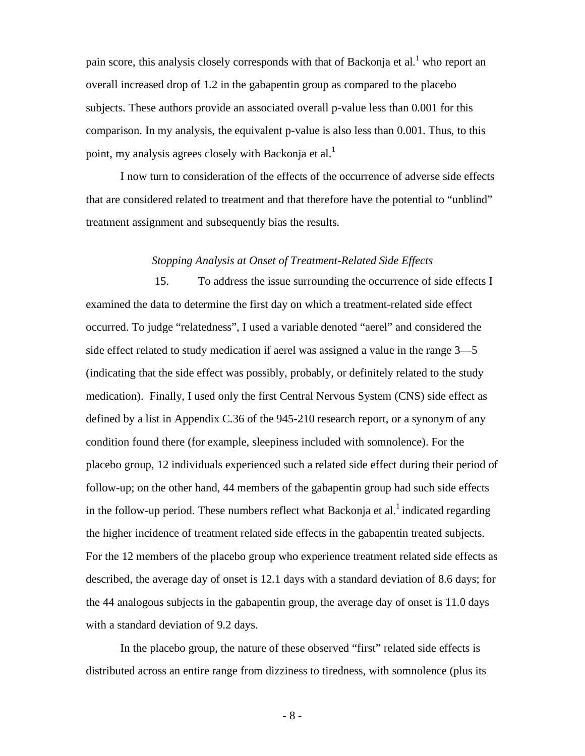pain score, this analysis closely corresponds with that of Backonja et al.<sup>1</sup> who report an overall increased drop of 1.2 in the gabapentin group as compared to the placebo subjects. These authors provide an associated overall p-value less than 0.001 for this comparison. In my analysis, the equivalent p-value is also less than 0.001. Thus, to this point, my analysis agrees closely with Backonja et al.<sup>1</sup>

I now turn to consideration of the effects of the occurrence of adverse side effects that are considered related to treatment and that therefore have the potential to "unblind" treatment assignment and subsequently bias the results.

#### *Stopping Analysis at Onset of Treatment-Related Side Effects*

15. To address the issue surrounding the occurrence of side effects I examined the data to determine the first day on which a treatment-related side effect occurred. To judge "relatedness", I used a variable denoted "aerel" and considered the side effect related to study medication if aerel was assigned a value in the range 3—5 (indicating that the side effect was possibly, probably, or definitely related to the study medication). Finally, I used only the first Central Nervous System (CNS) side effect as defined by a list in Appendix C.36 of the 945-210 research report, or a synonym of any condition found there (for example, sleepiness included with somnolence). For the placebo group, 12 individuals experienced such a related side effect during their period of follow-up; on the other hand, 44 members of the gabapentin group had such side effects in the follow-up period. These numbers reflect what Backonja et al.<sup>1</sup> indicated regarding the higher incidence of treatment related side effects in the gabapentin treated subjects. For the 12 members of the placebo group who experience treatment related side effects as described, the average day of onset is 12.1 days with a standard deviation of 8.6 days; for the 44 analogous subjects in the gabapentin group, the average day of onset is 11.0 days with a standard deviation of 9.2 days.

In the placebo group, the nature of these observed "first" related side effects is distributed across an entire range from dizziness to tiredness, with somnolence (plus its

- 8 -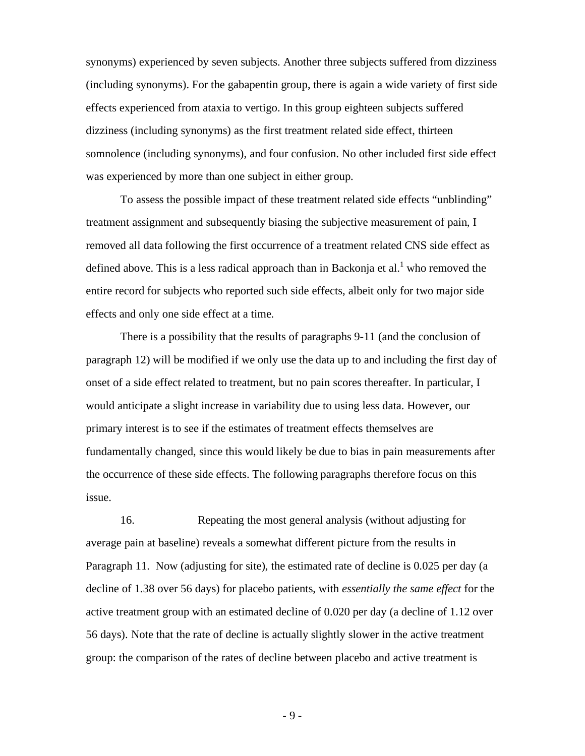synonyms) experienced by seven subjects. Another three subjects suffered from dizziness (including synonyms). For the gabapentin group, there is again a wide variety of first side effects experienced from ataxia to vertigo. In this group eighteen subjects suffered dizziness (including synonyms) as the first treatment related side effect, thirteen somnolence (including synonyms), and four confusion. No other included first side effect was experienced by more than one subject in either group.

To assess the possible impact of these treatment related side effects "unblinding" treatment assignment and subsequently biasing the subjective measurement of pain, I removed all data following the first occurrence of a treatment related CNS side effect as defined above. This is a less radical approach than in Backonja et al.<sup>1</sup> who removed the entire record for subjects who reported such side effects, albeit only for two major side effects and only one side effect at a time.

There is a possibility that the results of paragraphs 9-11 (and the conclusion of paragraph 12) will be modified if we only use the data up to and including the first day of onset of a side effect related to treatment, but no pain scores thereafter. In particular, I would anticipate a slight increase in variability due to using less data. However, our primary interest is to see if the estimates of treatment effects themselves are fundamentally changed, since this would likely be due to bias in pain measurements after the occurrence of these side effects. The following paragraphs therefore focus on this issue.

16. Repeating the most general analysis (without adjusting for average pain at baseline) reveals a somewhat different picture from the results in Paragraph 11. Now (adjusting for site), the estimated rate of decline is 0.025 per day (a decline of 1.38 over 56 days) for placebo patients, with *essentially the same effect* for the active treatment group with an estimated decline of 0.020 per day (a decline of 1.12 over 56 days). Note that the rate of decline is actually slightly slower in the active treatment group: the comparison of the rates of decline between placebo and active treatment is

- 9 -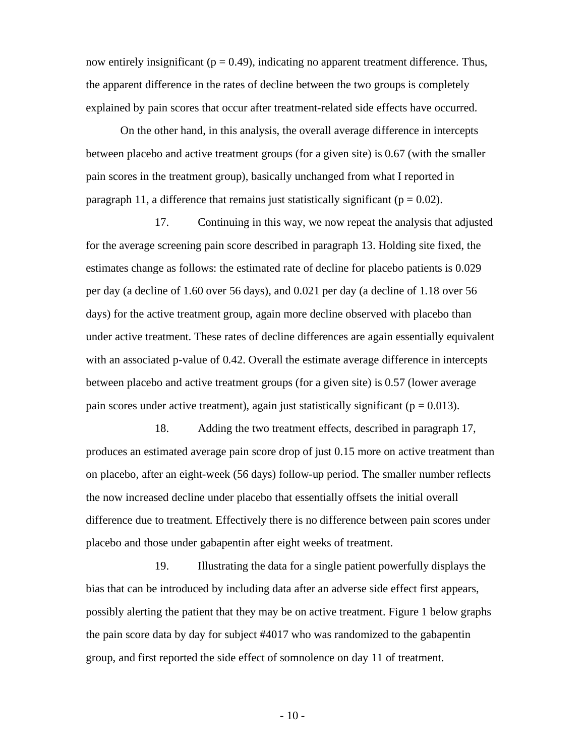now entirely insignificant ( $p = 0.49$ ), indicating no apparent treatment difference. Thus, the apparent difference in the rates of decline between the two groups is completely explained by pain scores that occur after treatment-related side effects have occurred.

On the other hand, in this analysis, the overall average difference in intercepts between placebo and active treatment groups (for a given site) is 0.67 (with the smaller pain scores in the treatment group), basically unchanged from what I reported in paragraph 11, a difference that remains just statistically significant ( $p = 0.02$ ).

17. Continuing in this way, we now repeat the analysis that adjusted for the average screening pain score described in paragraph 13. Holding site fixed, the estimates change as follows: the estimated rate of decline for placebo patients is 0.029 per day (a decline of 1.60 over 56 days), and 0.021 per day (a decline of 1.18 over 56 days) for the active treatment group, again more decline observed with placebo than under active treatment. These rates of decline differences are again essentially equivalent with an associated p-value of 0.42. Overall the estimate average difference in intercepts between placebo and active treatment groups (for a given site) is 0.57 (lower average pain scores under active treatment), again just statistically significant ( $p = 0.013$ ).

18. Adding the two treatment effects, described in paragraph 17, produces an estimated average pain score drop of just 0.15 more on active treatment than on placebo, after an eight-week (56 days) follow-up period. The smaller number reflects the now increased decline under placebo that essentially offsets the initial overall difference due to treatment. Effectively there is no difference between pain scores under placebo and those under gabapentin after eight weeks of treatment.

19. Illustrating the data for a single patient powerfully displays the bias that can be introduced by including data after an adverse side effect first appears, possibly alerting the patient that they may be on active treatment. Figure 1 below graphs the pain score data by day for subject #4017 who was randomized to the gabapentin group, and first reported the side effect of somnolence on day 11 of treatment.

 $-10-$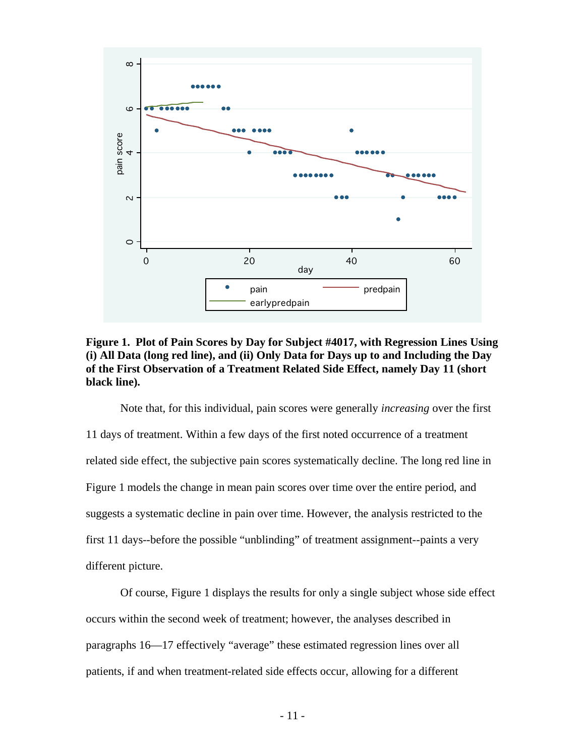



Note that, for this individual, pain scores were generally *increasing* over the first 11 days of treatment. Within a few days of the first noted occurrence of a treatment related side effect, the subjective pain scores systematically decline. The long red line in Figure 1 models the change in mean pain scores over time over the entire period, and suggests a systematic decline in pain over time. However, the analysis restricted to the first 11 days--before the possible "unblinding" of treatment assignment--paints a very different picture.

Of course, Figure 1 displays the results for only a single subject whose side effect occurs within the second week of treatment; however, the analyses described in paragraphs 16—17 effectively "average" these estimated regression lines over all patients, if and when treatment-related side effects occur, allowing for a different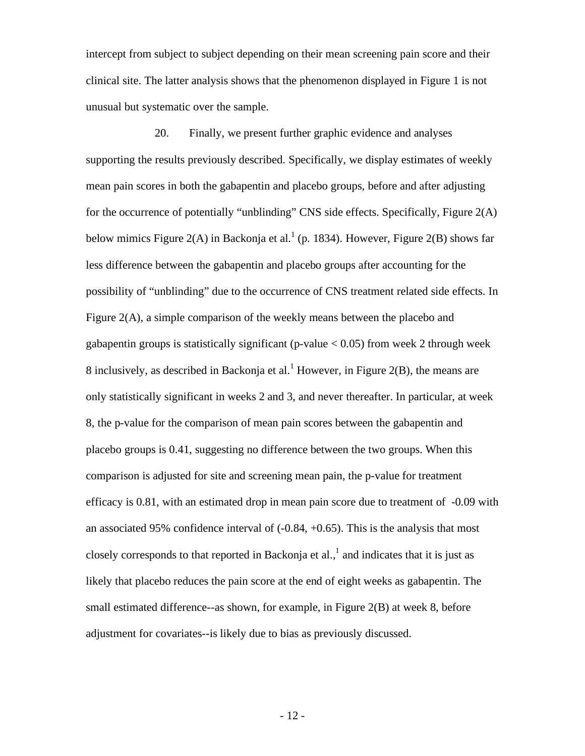intercept from subject to subject depending on their mean screening pain score and their clinical site. The latter analysis shows that the phenomenon displayed in Figure 1 is not unusual but systematic over the sample.

20. Finally, we present further graphic evidence and analyses supporting the results previously described. Specifically, we display estimates of weekly mean pain scores in both the gabapentin and placebo groups, before and after adjusting for the occurrence of potentially "unblinding" CNS side effects. Specifically, Figure 2(A) below mimics Figure 2(A) in Backonja et al.<sup>1</sup> (p. 1834). However, Figure 2(B) shows far less difference between the gabapentin and placebo groups after accounting for the possibility of "unblinding" due to the occurrence of CNS treatment related side effects. In Figure 2(A), a simple comparison of the weekly means between the placebo and gabapentin groups is statistically significant (p-value  $< 0.05$ ) from week 2 through week 8 inclusively, as described in Backonja et al.<sup>1</sup> However, in Figure 2(B), the means are only statistically significant in weeks 2 and 3, and never thereafter. In particular, at week 8, the p-value for the comparison of mean pain scores between the gabapentin and placebo groups is 0.41, suggesting no difference between the two groups. When this comparison is adjusted for site and screening mean pain, the p-value for treatment efficacy is 0.81, with an estimated drop in mean pain score due to treatment of -0.09 with an associated 95% confidence interval of  $(-0.84, +0.65)$ . This is the analysis that most closely corresponds to that reported in Backonja et al.,  $\frac{1}{2}$  and indicates that it is just as likely that placebo reduces the pain score at the end of eight weeks as gabapentin. The small estimated difference--as shown, for example, in Figure 2(B) at week 8, before adjustment for covariates--is likely due to bias as previously discussed.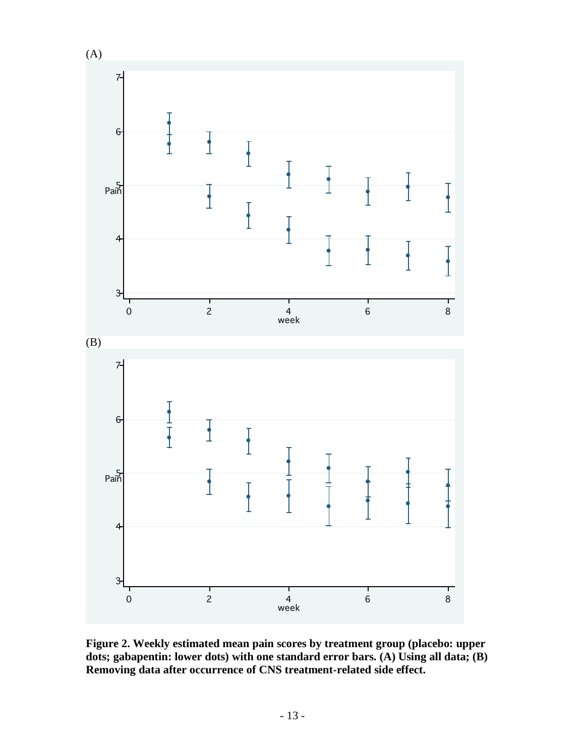

**Figure 2. Weekly estimated mean pain scores by treatment group (placebo: upper dots; gabapentin: lower dots) with one standard error bars. (A) Using all data; (B) Removing data after occurrence of CNS treatment-related side effect.**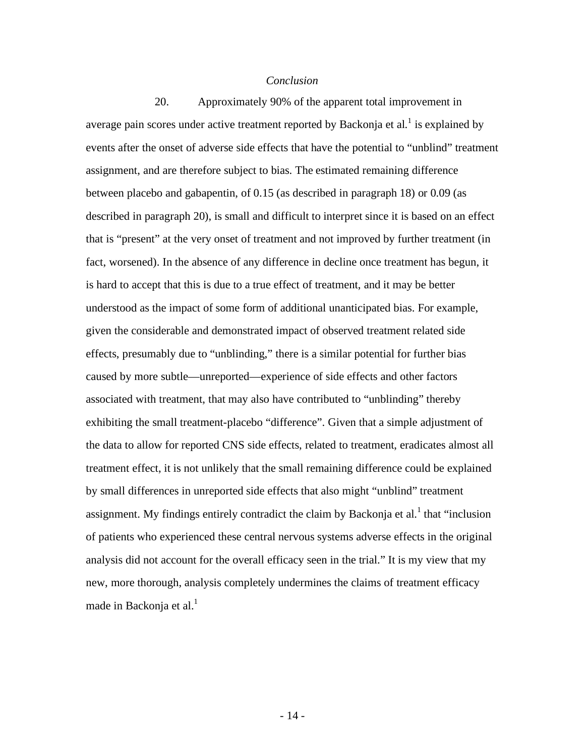## *Conclusion*

20. Approximately 90% of the apparent total improvement in average pain scores under active treatment reported by Backonja et al.<sup>1</sup> is explained by events after the onset of adverse side effects that have the potential to "unblind" treatment assignment, and are therefore subject to bias. The estimated remaining difference between placebo and gabapentin, of 0.15 (as described in paragraph 18) or 0.09 (as described in paragraph 20), is small and difficult to interpret since it is based on an effect that is "present" at the very onset of treatment and not improved by further treatment (in fact, worsened). In the absence of any difference in decline once treatment has begun, it is hard to accept that this is due to a true effect of treatment, and it may be better understood as the impact of some form of additional unanticipated bias. For example, given the considerable and demonstrated impact of observed treatment related side effects, presumably due to "unblinding," there is a similar potential for further bias caused by more subtle—unreported—experience of side effects and other factors associated with treatment, that may also have contributed to "unblinding" thereby exhibiting the small treatment-placebo "difference". Given that a simple adjustment of the data to allow for reported CNS side effects, related to treatment, eradicates almost all treatment effect, it is not unlikely that the small remaining difference could be explained by small differences in unreported side effects that also might "unblind" treatment assignment. My findings entirely contradict the claim by Backonja et al.<sup>1</sup> that "inclusion of patients who experienced these central nervous systems adverse effects in the original analysis did not account for the overall efficacy seen in the trial." It is my view that my new, more thorough, analysis completely undermines the claims of treatment efficacy made in Backonja et al.<sup>1</sup>